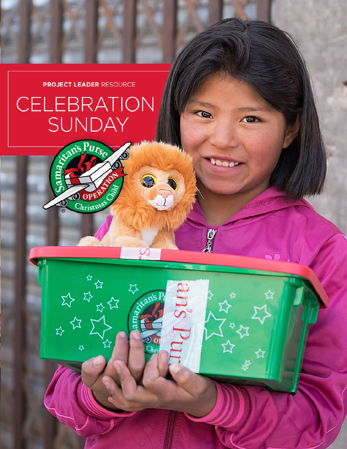

# CELEBRATION **SUNDAY**

DO

Purse

OPE Christmas

马尔马拉

Ą,

☆

O

0

S

10

☆

 $\sqrt{100}$ 

**JAGOS** 

C

ans

**COLOR** 

as.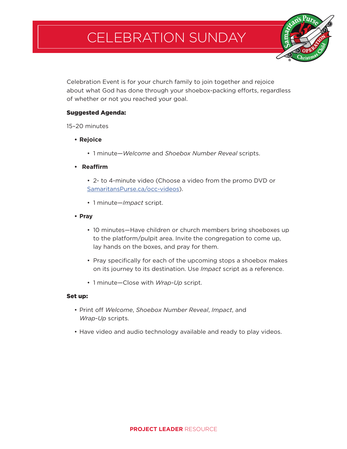## CELEBRATION SUNDAY

Celebration Event is for your church family to join together and rejoice about what God has done through your shoebox-packing efforts, regardless of whether or not you reached your goal.

### Suggested Agenda:

15–20 minutes

- **• Rejoice**
	- 1 minute—*Welcome* and *Shoebox Number Reveal* scripts.
- **• Reaffirm**
	- 2- to 4-minute video (Choose a video from the promo DVD or SamaritansPurse.ca/occ-videos).
	- 1 minute—*Impact* script.
- **• Pray**
	- 10 minutes—Have children or church members bring shoeboxes up to the platform/pulpit area. Invite the congregation to come up, lay hands on the boxes, and pray for them.
	- Pray specifically for each of the upcoming stops a shoebox makes on its journey to its destination. Use *Impact* script as a reference.
	- 1 minute—Close with *Wrap-Up* script.

### Set up:

- Print off *Welcome*, *Shoebox Number Reveal*, *Impact*, and *Wrap-Up* scripts.
- Have video and audio technology available and ready to play videos.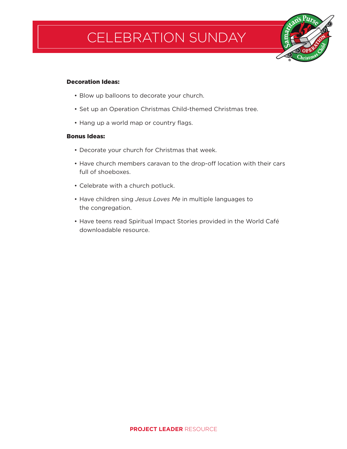# CELEBRATION SUNDAY

#### Decoration Ideas:

- Blow up balloons to decorate your church.
- Set up an Operation Christmas Child-themed Christmas tree.
- Hang up a world map or country flags.

#### Bonus Ideas:

- Decorate your church for Christmas that week.
- Have church members caravan to the drop-off location with their cars full of shoeboxes.
- Celebrate with a church potluck.
- Have children sing *Jesus Loves Me* in multiple languages to the congregation.
- Have teens read Spiritual Impact Stories provided in the World Café downloadable resource.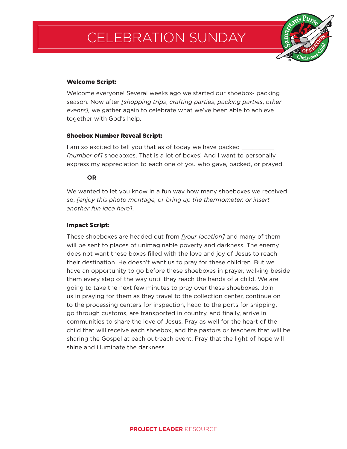## CELEBRATION SUNDAY



### Welcome Script:

Welcome everyone! Several weeks ago we started our shoebox- packing season. Now after *[shopping trips*, *crafting parties*, *packing parties*, *other events],* we gather again to celebrate what we've been able to achieve together with God's help.

### Shoebox Number Reveal Script:

I am so excited to tell you that as of today we have packed *[number of]* shoeboxes. That is a lot of boxes! And I want to personally express my appreciation to each one of you who gave, packed, or prayed.

### **OR**

We wanted to let you know in a fun way how many shoeboxes we received so, *[enjoy this photo montage, or bring up the thermometer, or insert another fun idea here]*.

### Impact Script:

These shoeboxes are headed out from *[your location]* and many of them will be sent to places of unimaginable poverty and darkness. The enemy does not want these boxes filled with the love and joy of Jesus to reach their destination. He doesn't want us to pray for these children. But we have an opportunity to go before these shoeboxes in prayer, walking beside them every step of the way until they reach the hands of a child. We are going to take the next few minutes to pray over these shoeboxes. Join us in praying for them as they travel to the collection center, continue on to the processing centers for inspection, head to the ports for shipping, go through customs, are transported in country, and finally, arrive in communities to share the love of Jesus. Pray as well for the heart of the child that will receive each shoebox, and the pastors or teachers that will be sharing the Gospel at each outreach event. Pray that the light of hope will shine and illuminate the darkness.